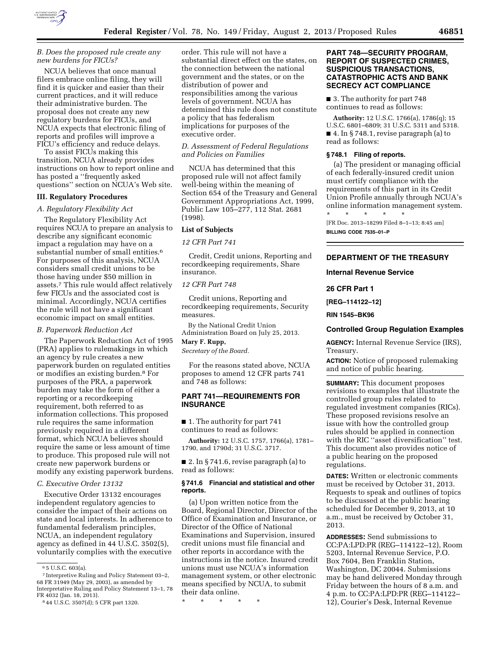

## *B. Does the proposed rule create any new burdens for FICUs?*

NCUA believes that once manual filers embrace online filing, they will find it is quicker and easier than their current practices, and it will reduce their administrative burden. The proposal does not create any new regulatory burdens for FICUs, and NCUA expects that electronic filing of reports and profiles will improve a FICU's efficiency and reduce delays.

To assist FICUs making this transition, NCUA already provides instructions on how to report online and has posted a ''frequently asked questions'' section on NCUA's Web site.

## **III. Regulatory Procedures**

#### *A. Regulatory Flexibility Act*

The Regulatory Flexibility Act requires NCUA to prepare an analysis to describe any significant economic impact a regulation may have on a substantial number of small entities.<sup>6</sup> For purposes of this analysis, NCUA considers small credit unions to be those having under \$50 million in assets.7 This rule would affect relatively few FICUs and the associated cost is minimal. Accordingly, NCUA certifies the rule will not have a significant economic impact on small entities.

#### *B. Paperwork Reduction Act*

The Paperwork Reduction Act of 1995 (PRA) applies to rulemakings in which an agency by rule creates a new paperwork burden on regulated entities or modifies an existing burden.8 For purposes of the PRA, a paperwork burden may take the form of either a reporting or a recordkeeping requirement, both referred to as information collections. This proposed rule requires the same information previously required in a different format, which NCUA believes should require the same or less amount of time to produce. This proposed rule will not create new paperwork burdens or modify any existing paperwork burdens.

### *C. Executive Order 13132*

Executive Order 13132 encourages independent regulatory agencies to consider the impact of their actions on state and local interests. In adherence to fundamental federalism principles, NCUA, an independent regulatory agency as defined in 44 U.S.C. 3502(5), voluntarily complies with the executive

order. This rule will not have a substantial direct effect on the states, on the connection between the national government and the states, or on the distribution of power and responsibilities among the various levels of government. NCUA has determined this rule does not constitute a policy that has federalism implications for purposes of the executive order.

### *D. Assessment of Federal Regulations and Policies on Families*

NCUA has determined that this proposed rule will not affect family well-being within the meaning of Section 654 of the Treasury and General Government Appropriations Act, 1999, Public Law 105–277, 112 Stat. 2681 (1998).

#### **List of Subjects**

## *12 CFR Part 741*

Credit, Credit unions, Reporting and recordkeeping requirements, Share insurance.

### *12 CFR Part 748*

Credit unions, Reporting and recordkeeping requirements, Security measures.

By the National Credit Union Administration Board on July 25, 2013.

# **Mary F. Rupp,**

*Secretary of the Board.* 

For the reasons stated above, NCUA proposes to amend 12 CFR parts 741 and 748 as follows:

# **PART 741—REQUIREMENTS FOR INSURANCE**

■ 1. The authority for part 741 continues to read as follows:

**Authority:** 12 U.S.C. 1757, 1766(a), 1781– 1790, and 1790d; 31 U.S.C. 3717.

■ 2. In § 741.6, revise paragraph (a) to read as follows:

#### **§ 741.6 Financial and statistical and other reports.**

(a) Upon written notice from the Board, Regional Director, Director of the Office of Examination and Insurance, or Director of the Office of National Examinations and Supervision, insured credit unions must file financial and other reports in accordance with the instructions in the notice. Insured credit unions must use NCUA's information management system, or other electronic means specified by NCUA, to submit their data online.

\* \* \* \* \*

## **PART 748—SECURITY PROGRAM, REPORT OF SUSPECTED CRIMES, SUSPICIOUS TRANSACTIONS, CATASTROPHIC ACTS AND BANK SECRECY ACT COMPLIANCE**

■ 3. The authority for part 748 continues to read as follows:

**Authority:** 12 U.S.C. 1766(a), 1786(q); 15 U.S.C. 6801–6809; 31 U.S.C. 5311 and 5318. ■ 4. In § 748.1, revise paragraph (a) to read as follows:

#### **§ 748.1 Filing of reports.**

(a) The president or managing official of each federally-insured credit union must certify compliance with the requirements of this part in its Credit Union Profile annually through NCUA's online information management system.

\* \* \* \* \* [FR Doc. 2013–18299 Filed 8–1–13; 8:45 am] **BILLING CODE 7535–01–P** 

## **DEPARTMENT OF THE TREASURY**

### **Internal Revenue Service**

**26 CFR Part 1** 

**[REG–114122–12]** 

**RIN 1545–BK96** 

#### **Controlled Group Regulation Examples**

**AGENCY:** Internal Revenue Service (IRS), Treasury.

**ACTION:** Notice of proposed rulemaking and notice of public hearing.

**SUMMARY:** This document proposes revisions to examples that illustrate the controlled group rules related to regulated investment companies (RICs). These proposed revisions resolve an issue with how the controlled group rules should be applied in connection with the RIC ''asset diversification'' test. This document also provides notice of a public hearing on the proposed regulations.

**DATES:** Written or electronic comments must be received by October 31, 2013. Requests to speak and outlines of topics to be discussed at the public hearing scheduled for December 9, 2013, at 10 a.m., must be received by October 31, 2013.

**ADDRESSES:** Send submissions to CC:PA:LPD:PR (REG–114122–12), Room 5203, Internal Revenue Service, P.O. Box 7604, Ben Franklin Station, Washington, DC 20044. Submissions may be hand delivered Monday through Friday between the hours of 8 a.m. and 4 p.m. to CC:PA:LPD:PR (REG–114122– 12), Courier's Desk, Internal Revenue

<sup>6</sup> 5 U.S.C. 603(a).

<sup>7</sup> Interpretive Ruling and Policy Statement 03–2, 68 FR 31949 (May 29, 2003), as amended by Interpretative Ruling and Policy Statement 13–1, 78 FR 4032 (Jan. 18, 2013).

<sup>8</sup> 44 U.S.C. 3507(d); 5 CFR part 1320.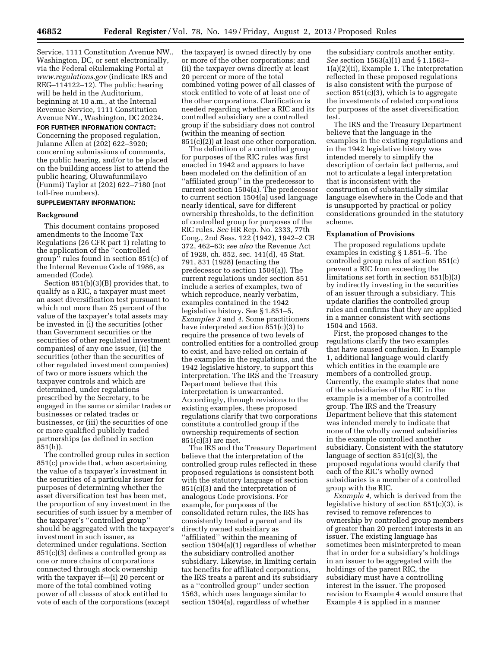Service, 1111 Constitution Avenue NW., Washington, DC, or sent electronically, via the Federal eRulemaking Portal at *[www.regulations.gov](http://www.regulations.gov)* (indicate IRS and REG–114122–12). The public hearing will be held in the Auditorium, beginning at 10 a.m., at the Internal Revenue Service, 1111 Constitution Avenue NW., Washington, DC 20224.

**FOR FURTHER INFORMATION CONTACT:** 

Concerning the proposed regulation, Julanne Allen at (202) 622–3920; concerning submissions of comments, the public hearing, and/or to be placed on the building access list to attend the public hearing, Oluwafunmilayo (Funmi) Taylor at (202) 622–7180 (not toll-free numbers).

### **SUPPLEMENTARY INFORMATION:**

#### **Background**

This document contains proposed amendments to the Income Tax Regulations (26 CFR part 1) relating to the application of the ''controlled group'' rules found in section 851(c) of the Internal Revenue Code of 1986, as amended (Code).

Section 851(b)(3)(B) provides that, to qualify as a RIC, a taxpayer must meet an asset diversification test pursuant to which not more than 25 percent of the value of the taxpayer's total assets may be invested in (i) the securities (other than Government securities or the securities of other regulated investment companies) of any one issuer, (ii) the securities (other than the securities of other regulated investment companies) of two or more issuers which the taxpayer controls and which are determined, under regulations prescribed by the Secretary, to be engaged in the same or similar trades or businesses or related trades or businesses, or (iii) the securities of one or more qualified publicly traded partnerships (as defined in section  $851(h)$ ).

The controlled group rules in section 851(c) provide that, when ascertaining the value of a taxpayer's investment in the securities of a particular issuer for purposes of determining whether the asset diversification test has been met, the proportion of any investment in the securities of such issuer by a member of the taxpayer's ''controlled group'' should be aggregated with the taxpayer's investment in such issuer, as determined under regulations. Section 851(c)(3) defines a controlled group as one or more chains of corporations connected through stock ownership with the taxpayer if—(i) 20 percent or more of the total combined voting power of all classes of stock entitled to vote of each of the corporations (except

the taxpayer) is owned directly by one or more of the other corporations; and (ii) the taxpayer owns directly at least 20 percent or more of the total combined voting power of all classes of stock entitled to vote of at least one of the other corporations. Clarification is needed regarding whether a RIC and its controlled subsidiary are a controlled group if the subsidiary does not control (within the meaning of section 851(c)(2)) at least one other corporation.

The definition of a controlled group for purposes of the RIC rules was first enacted in 1942 and appears to have been modeled on the definition of an ''affiliated group'' in the predecessor to current section 1504(a). The predecessor to current section 1504(a) used language nearly identical, save for different ownership thresholds, to the definition of controlled group for purposes of the RIC rules. *See* HR Rep. No. 2333, 77th Cong., 2nd Sess. 122 (1942), 1942–2 CB 372, 462–63; *see also* the Revenue Act of 1928, ch. 852, sec. 141(d), 45 Stat. 791, 831 (1928) (enacting the predecessor to section 1504(a)). The current regulations under section 851 include a series of examples, two of which reproduce, nearly verbatim, examples contained in the 1942 legislative history. See § 1.851–5, *Examples 3* and *4.* Some practitioners have interpreted section 851(c)(3) to require the presence of two levels of controlled entities for a controlled group to exist, and have relied on certain of the examples in the regulations, and the 1942 legislative history, to support this interpretation. The IRS and the Treasury Department believe that this interpretation is unwarranted. Accordingly, through revisions to the existing examples, these proposed regulations clarify that two corporations constitute a controlled group if the ownership requirements of section 851(c)(3) are met.

The IRS and the Treasury Department believe that the interpretation of the controlled group rules reflected in these proposed regulations is consistent both with the statutory language of section 851(c)(3) and the interpretation of analogous Code provisions. For example, for purposes of the consolidated return rules, the IRS has consistently treated a parent and its directly owned subsidiary as ''affiliated'' within the meaning of section 1504(a)(1) regardless of whether the subsidiary controlled another subsidiary. Likewise, in limiting certain tax benefits for affiliated corporations, the IRS treats a parent and its subsidiary as a ''controlled group'' under section 1563, which uses language similar to section 1504(a), regardless of whether

the subsidiary controls another entity. *See* section 1563(a)(1) and § 1.1563– 1(a)(2)(ii), Example 1. The interpretation reflected in these proposed regulations is also consistent with the purpose of section  $851(c)(3)$ , which is to aggregate the investments of related corporations for purposes of the asset diversification test.

The IRS and the Treasury Department believe that the language in the examples in the existing regulations and in the 1942 legislative history was intended merely to simplify the description of certain fact patterns, and not to articulate a legal interpretation that is inconsistent with the construction of substantially similar language elsewhere in the Code and that is unsupported by practical or policy considerations grounded in the statutory scheme.

#### **Explanation of Provisions**

The proposed regulations update examples in existing § 1.851–5. The controlled group rules of section 851(c) prevent a RIC from exceeding the limitations set forth in section 851(b)(3) by indirectly investing in the securities of an issuer through a subsidiary. This update clarifies the controlled group rules and confirms that they are applied in a manner consistent with sections 1504 and 1563.

First, the proposed changes to the regulations clarify the two examples that have caused confusion. In Example 1, additional language would clarify which entities in the example are members of a controlled group. Currently, the example states that none of the subsidiaries of the RIC in the example is a member of a controlled group. The IRS and the Treasury Department believe that this statement was intended merely to indicate that none of the wholly owned subsidiaries in the example controlled another subsidiary. Consistent with the statutory language of section 851(c)(3), the proposed regulations would clarify that each of the RIC's wholly owned subsidiaries is a member of a controlled group with the RIC.

*Example 4,* which is derived from the legislative history of section 851(c)(3), is revised to remove references to ownership by controlled group members of greater than 20 percent interests in an issuer. The existing language has sometimes been misinterpreted to mean that in order for a subsidiary's holdings in an issuer to be aggregated with the holdings of the parent RIC, the subsidiary must have a controlling interest in the issuer. The proposed revision to Example 4 would ensure that Example 4 is applied in a manner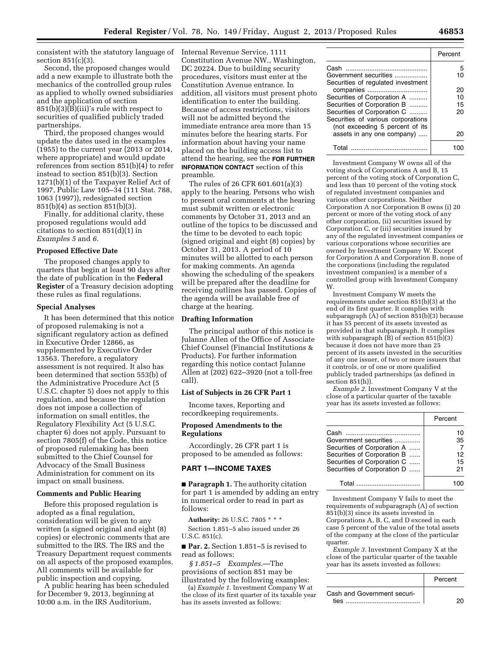consistent with the statutory language of Internal Revenue Service, 1111 section 851(c)(3).

Second, the proposed changes would add a new example to illustrate both the mechanics of the controlled group rules as applied to wholly owned subsidiaries and the application of section 851(b)(3)(B)(iii)'s rule with respect to securities of qualified publicly traded partnerships.

Third, the proposed changes would update the dates used in the examples (1955) to the current year (2013 or 2014, where appropriate) and would update references from section 851(b)(4) to refer instead to section 851(b)(3). Section 1271(b)(1) of the Taxpayer Relief Act of 1997, Public Law 105–34 (111 Stat. 788, 1063 (1997)), redesignated section 851(b)(4) as section 851(b)(3).

Finally, for additional clarity, these proposed regulations would add citations to section 851(d)(1) in *Examples 5* and *6.* 

## **Proposed Effective Date**

The proposed changes apply to quarters that begin at least 90 days after the date of publication in the **Federal Register** of a Treasury decision adopting these rules as final regulations.

### **Special Analyses**

It has been determined that this notice of proposed rulemaking is not a significant regulatory action as defined in Executive Order 12866, as supplemented by Executive Order 13563. Therefore, a regulatory assessment is not required. It also has been determined that section 553(b) of the Administrative Procedure Act (5 U.S.C. chapter 5) does not apply to this regulation, and because the regulation does not impose a collection of information on small entitles, the Regulatory Flexibility Act (5 U.S.C. chapter 6) does not apply. Pursuant to section 7805(f) of the Code, this notice of proposed rulemaking has been submitted to the Chief Counsel for Advocacy of the Small Business Administration for comment on its impact on small business.

### **Comments and Public Hearing**

Before this proposed regulation is adopted as a final regulation, consideration will be given to any written (a signed original and eight (8) copies) or electronic comments that are submitted to the IRS. The IRS and the Treasury Department request comments on all aspects of the proposed examples. All comments will be available for public inspection and copying.

A public hearing has been scheduled for December 9, 2013, beginning at 10:00 a.m. in the IRS Auditorium,

Constitution Avenue NW., Washington, DC 20224. Due to building security procedures, visitors must enter at the Constitution Avenue entrance. In addition, all visitors must present photo identification to enter the building. Because of access restrictions, visitors will not be admitted beyond the immediate entrance area more than 15 minutes before the hearing starts. For information about having your name placed on the building access list to attend the hearing, see the **FOR FURTHER INFORMATION CONTACT** section of this preamble.

The rules of 26 CFR 601.601(a)(3) apply to the hearing. Persons who wish to present oral comments at the hearing must submit written or electronic comments by October 31, 2013 and an outline of the topics to be discussed and the time to be devoted to each topic (signed original and eight (8) copies) by October 31, 2013. A period of 10 minutes will be allotted to each person for making comments. An agenda showing the scheduling of the speakers will be prepared after the deadline for receiving outlines has passed. Copies of the agenda will be available free of charge at the hearing.

### **Drafting Information**

The principal author of this notice is Julanne Allen of the Office of Associate Chief Counsel (Financial Institutions & Products). For further information regarding this notice contact Julanne Allen at (202) 622–3920 (not a toll-free call).

### **List of Subjects in 26 CFR Part 1**

Income taxes, Reporting and recordkeeping requirements.

### **Proposed Amendments to the Regulations**

Accordingly, 26 CFR part 1 is proposed to be amended as follows:

# **PART 1—INCOME TAXES**

■ **Paragraph 1.** The authority citation for part 1 is amended by adding an entry in numerical order to read in part as follows:

**Authority:** 26 U.S.C. 7805 \* \* \* Section 1.851–5 also issued under 26 U.S.C. 851(c).

■ **Par. 2.** Section 1.851–5 is revised to read as follows:

*§ 1.851–5 Examples.*—The provisions of section 851 may be illustrated by the following examples:

(a) *Example 1.* Investment Company W at the close of its first quarter of its taxable year has its assets invested as follows:

|                                                                                                      | Percent |
|------------------------------------------------------------------------------------------------------|---------|
| Cash<br>Government securities<br>Securities of regulated investment                                  | 5<br>10 |
|                                                                                                      | 20      |
| Securities of Corporation A                                                                          | 10      |
| Securities of Corporation B                                                                          | 15      |
| Securities of Corporation C<br>Securities of various corporations<br>(not exceeding 5 percent of its | 20      |
| assets in any one company)                                                                           | 20      |
| T∩tal                                                                                                |         |

Investment Company W owns all of the voting stock of Corporations A and B, 15 percent of the voting stock of Corporation C, and less than 10 percent of the voting stock of regulated investment companies and various other corporations. Neither Corporation A nor Corporation B owns (i) 20 percent or more of the voting stock of any other corporation, (ii) securities issued by Corporation C, or (iii) securities issued by any of the regulated investment companies or various corporations whose securities are owned by Investment Company W. Except for Corporation A and Corporation B, none of the corporations (including the regulated investment companies) is a member of a controlled group with Investment Company W.

Investment Company W meets the requirements under section 851(b)(3) at the end of its first quarter. It complies with subparagraph (A) of section 851(b)(3) because it has 55 percent of its assets invested as provided in that subparagraph. It complies with subparagraph  $(\bar{B})$  of section 851(b)(3) because it does not have more than 25 percent of its assets invested in the securities of any one issuer, of two or more issuers that it controls, or of one or more qualified publicly traded partnerships (as defined in section 851(h)).

*Example 2.* Investment Company V at the close of a particular quarter of the taxable year has its assets invested as follows:

|                             | Percent |
|-----------------------------|---------|
| Cash                        | 10      |
| Government securities       | 35      |
| Securities of Corporation A |         |
| Securities of Corporation B | 12      |
| Securities of Corporation C | 15      |
| Securities of Corporation D | 21      |
| Total                       |         |

Investment Company V fails to meet the requirements of subparagraph (A) of section 851(b)(3) since its assets invested in Corporations A, B, C, and D exceed in each case 5 percent of the value of the total assets of the company at the close of the particular quarter.

*Example 3.* Investment Company X at the close of the particular quarter of the taxable year has its assets invested as follows:

|                             | Percent |
|-----------------------------|---------|
| Cash and Government securi- |         |
| ties                        |         |